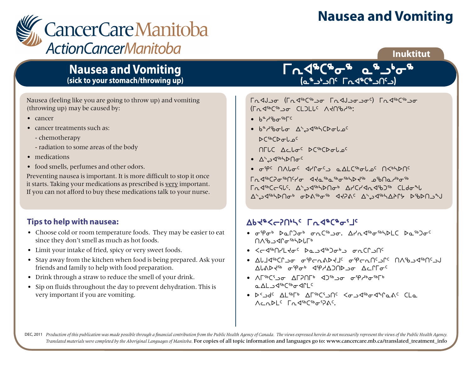# **Nausea and Vomiting**



### **Inuktitut**

## **Nausea and Vomiting (sick to your stomach/throwing up)**

Nausea (feeling like you are going to throw up) and vomiting (throwing up) may be caused by:

- cancer
- cancer treatments such as:
	- chemotherapy
	- radiation to some areas of the body
- medications
- food smells, perfumes and other odors.

Preventing nausea is important. It is more difficult to stop it once it starts. Taking your medications as prescribed is very important. If you can not afford to buy these medications talk to your nurse.

### **Tips to help with nausea:**

- Choose cold or room temperature foods. They may be easier to eat since they don't smell as much as hot foods.
- Limit your intake of fried, spicy or very sweet foods.
- Stay away from the kitchen when food is being prepared. Ask your friends and family to help with food preparation.
- Drink through a straw to reduce the smell of your drink.
- Sip on fluids throughout the day to prevent dehydration. This is very important if you are vomiting.

## <u>ნოქ<sub>ა</sub>ნგია თგ</u>ინა lمشاهداتها این استراحیها (م

Indlo (Indircition Indloctor) Indirchto  $T_{\Omega}$  die $C^{6}$  be CLDLC Ad $D^{4}$ 

- $b^aA^b$
- $b^{\alpha}$ ما $\sigma^{\beta}$ د $\Delta^{\gamma}$ د $\Delta^{\gamma}$ د  $\Delta^{\gamma}$ ه وا $\Gamma$
- $D^{66}$  $D^{61}$
- $TULC$  Ac  $L\sigma^C$   $D^{c6}$  $D\sigma L\sigma^C$
- $\triangle^b \triangle^{\text{Gb}}$ < And  $\triangle^c$
- $\sigma^{spc}$  natoc deforts and the two newspaces

uEx6bDi6t5yi xJN6N6i6nsJ6 kctNh4i6 rd 460cc5lc. At 246hbnob Arcrana9bj6 CLdoql  $\Delta^4$ م<sup>46</sup>5 مالاطابوكل مكان الكورة الكورة الكورة الكورية الكورية الكورية الكورية الكورية الكورية الكورية الكورية ال

## Wayde-SUPYC LUQ&C&<sup>Q</sup>ilc

- $\sigma^5P\sigma^6$   $\lambda_0P$ ) $\sigma^6$   $\sigma_1C^{5b}$ <sub>2</sub> $\sigma_2$ ,  $\Delta_1P_1$  $\Delta_1P_0$ <sub>5</sub>,  $\Delta_2P_0$ <sub>5</sub>  $\bigcap_{k}S_{k}$ <sub>2</sub> $\bigcap_{k}S_{k}$ <sub>2</sub> $\bigcap_{k}S_{k}$ <sub>2</sub> $\bigcap_{k}S_{k}$ <sub>2</sub>
- Xox6tymJi5 sNlx6gi4l iEbQlt5
- wZjx6bQli ieoEFsJj5 ieoEt5lQ5 tWclx6t5lA ALADE<sup>46</sup> ofPot dip/ADND or Aclio<sup>c</sup>
- $\bullet$  AL $\circ$ C<sub>3</sub> n Al 24<sup>sb</sup>Csb<sub>o</sub>csdnlc
- $5 \times 3$ d<sup>c</sup> Alstr<sup>6</sup> Alstr<sup>6</sup> Success  $\sim 50$  Kilosopta  $\sim 50$ ACAPL<sup>C</sup> Fastbachers PAC.

DEC, 2011 Production of this publication was made possible through a financial contribution from the Public Health Agency of Canada. The views expressed herein do not necessarily represent the views of the Public Health Ag *Translated materials were completed by the Aboriginal Languages of Manitoba.* For copies of all topic information and languages go to: www.cancercare.mb.ca/translated\_treatment\_info